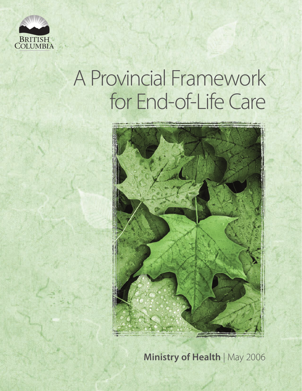

# A Provincial Framework for End-of-Life Care



**Ministry of Health** | May 2006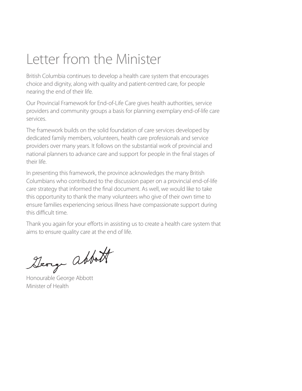# Letter from the Minister

British Columbia continues to develop a health care system that encourages choice and dignity, along with quality and patient-centred care, for people nearing the end of their life.

Our Provincial Framework for End-of-Life Care gives health authorities, service providers and community groups a basis for planning exemplary end-of-life care services.

The framework builds on the solid foundation of care services developed by dedicated family members, volunteers, health care professionals and service providers over many years. It follows on the substantial work of provincial and national planners to advance care and support for people in the final stages of their life.

In presenting this framework, the province acknowledges the many British Columbians who contributed to the discussion paper on a provincial end-of-life care strategy that informed the final document. As well, we would like to take this opportunity to thank the many volunteers who give of their own time to ensure families experiencing serious illness have compassionate support during this difficult time.

Thank you again for your efforts in assisting us to create a health care system that aims to ensure quality care at the end of life.

Deorge abbott

Minister of Health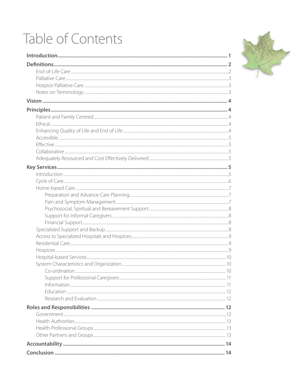# Table of Contents

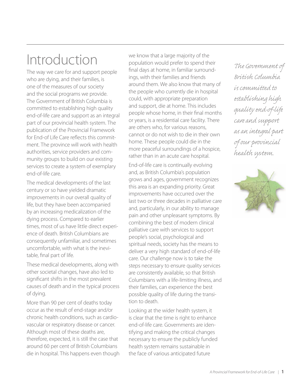# Introduction

The way we care for and support people who are dying, and their families, is one of the measures of our society and the social programs we provide. The Government of British Columbia is committed to establishing high quality end-of-life care and support as an integral part of our provincial health system. The publication of the Provincial Framework for End-of Life Care reflects this commitment. The province will work with health authorities, service providers and community groups to build on our existing services to create a system of exemplary end-of-life care.

The medical developments of the last century or so have yielded dramatic improvements in our overall quality of life, but they have been accompanied by an increasing medicalization of the dying process. Compared to earlier times, most of us have little direct experience of death. British Columbians are consequently unfamiliar, and sometimes uncomfortable, with what is the inevitable, final part of life.

These medical developments, along with other societal changes, have also led to significant shifts in the most prevalent causes of death and in the typical process of dying.

More than 90 per cent of deaths today occur as the result of end-stage and/or chronic health conditions, such as cardiovascular or respiratory disease or cancer. Although most of these deaths are, therefore, expected, it is still the case that around 60 per cent of British Columbians die in hospital. This happens even though we know that a large majority of the population would prefer to spend their final days at home, in familiar surroundings, with their families and friends around them. We also know that many of the people who currently die in hospital could, with appropriate preparation and support, die at home. This includes people whose home, in their final months or years, is a residential care facility. There are others who, for various reasons, cannot or do not wish to die in their own home. These people could die in the more peaceful surroundings of a hospice, rather than in an acute care hospital.

End-of-life care is continually evolving and, as British Columbia's population grows and ages, government recognizes this area is an expanding priority. Great improvements have occurred over the last two or three decades in palliative care and, particularly, in our ability to manage pain and other unpleasant symptoms. By combining the best of modern clinical palliative care with services to support people's social, psychological and spiritual needs, society has the means to deliver a very high standard of end-of-life care. Our challenge now is to take the steps necessary to ensure quality services are consistently available, so that British Columbians with a life-limiting illness, and their families, can experience the best possible quality of life during the transition to death.

Looking at the wider health system, it is clear that the time is right to enhance end-of-life care. Governments are identifying and making the critical changes necessary to ensure the publicly funded health system remains sustainable in the face of various anticipated future

The Government of *British Columbia is commi ed to tablishing high quality end- -life care and su ort as an integral part our provincial health system.* 

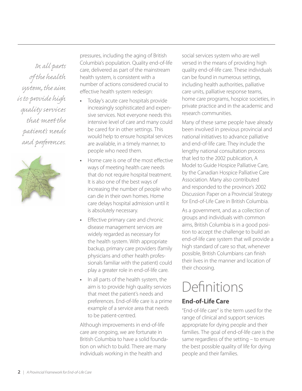*In all parts the health stem, the aim is to provide high quality services that me the patient's needs*  and preferences.



pressures, including the aging of British Columbia's population. Quality end-of-life care, delivered as part of the mainstream health system, is consistent with a number of actions considered crucial to effective health system redesign:

- **•** Today's acute care hospitals provide increasingly sophisticated and expensive services. Not everyone needs this intensive level of care and many could be cared for in other settings. This would help to ensure hospital services are available, in a timely manner, to people who need them.
- Home care is one of the most effective ways of meeting health care needs that do not require hospital treatment. It is also one of the best ways of increasing the number of people who can die in their own homes. Home care delays hospital admission until it is absolutely necessary.
- **Effective primary care and chronic** disease management services are widely regarded as necessary for the health system. With appropriate backup, primary care providers (family physicians and other health professionals familiar with the patient) could play a greater role in end-of-life care.
- **•** In all parts of the health system, the aim is to provide high quality services that meet the patient's needs and preferences. End-of-life care is a prime example of a service area that needs to be patient-centred.

Although improvements in end-of-life care are ongoing, we are fortunate in British Columbia to have a solid foundation on which to build. There are many individuals working in the health and

social services system who are well versed in the means of providing high quality end-of-life care. These individuals can be found in numerous settings, including health authorities, palliative care units, palliative response teams, home care programs, hospice societies, in private practice and in the academic and research communities.

Many of these same people have already been involved in previous provincial and national initiatives to advance palliative and end-of-life care. They include the lengthy national consultation process that led to the 2002 publication, A Model to Guide Hospice Palliative Care, by the Canadian Hospice Palliative Care Association. Many also contributed and responded to the province's 2002 Discussion Paper on a Provincial Strategy for End-of-Life Care in British Columbia.

As a government, and as a collection of groups and individuals with common aims, British Columbia is in a good position to accept the challenge to build an end-of-life care system that will provide a high standard of care so that, whenever possible, British Columbians can finish their lives in the manner and location of their choosing.

# Definitions

# **End-of-Life Care**

"End-of-life care" is the term used for the range of clinical and support services appropriate for dying people and their families. The goal of end-of-life care is the same regardless of the setting – to ensure the best possible quality of life for dying people and their families.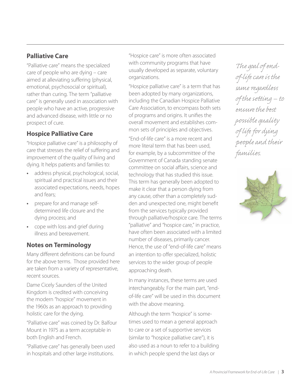## **Palliative Care**

"Palliative care" means the specialized care of people who are dying – care aimed at alleviating suffering (physical, emotional, psychosocial or spiritual), rather than curing. The term "palliative care" is generally used in association with people who have an active, progressive and advanced disease, with little or no prospect of cure.

# **Hospice Palliative Care**

"Hospice palliative care" is a philosophy of care that stresses the relief of suffering and improvement of the quality of living and dying. It helps patients and families to:

- **•** address physical, psychological, social, spiritual and practical issues and their associated expectations, needs, hopes and fears;
- **•** prepare for and manage selfdetermined life closure and the dying process; and
- **•** cope with loss and grief during illness and bereavement.

### **Notes on Terminology**

Many different definitions can be found for the above terms. Those provided here are taken from a variety of representative, recent sources.

Dame Cicely Saunders of the United Kingdom is credited with conceiving the modern "hospice" movement in the 1960s as an approach to providing holistic care for the dying.

"Palliative care" was coined by Dr. Balfour Mount in 1975 as a term acceptable in both English and French.

"Palliative care" has generally been used in hospitals and other large institutions.

"Hospice care" is more often associated with community programs that have usually developed as separate, voluntary organizations.

"Hospice palliative care" is a term that has been adopted by many organizations, including the Canadian Hospice Palliative Care Association, to encompass both sets of programs and origins. It unifies the overall movement and establishes common sets of principles and objectives.

"End-of-life care" is a more recent and more literal term that has been used, for example, by a subcommittee of the Government of Canada standing senate committee on social affairs, science and technology that has studied this issue. This term has generally been adopted to make it clear that a person dying from any cause, other than a completely sudden and unexpected one, might benefit from the services typically provided through palliative/hospice care. The terms "palliative" and "hospice care," in practice, have often been associated with a limited number of diseases, primarily cancer. Hence, the use of "end-of-life care" means an intention to offer specialized, holistic services to the wider group of people approaching death.

In many instances, these terms are used interchangeably. For the main part, "endof-life care" will be used in this document with the above meaning.

Although the term "hospice" is sometimes used to mean a general approach to care or a set of supportive services (similar to "hospice palliative care"), it is also used as a noun to refer to a building in which people spend the last days or

The goal of end- *-life care is the*  same regardless of the setting – to *ensure the best po ible quality*  of life for dying *people and their*  families.

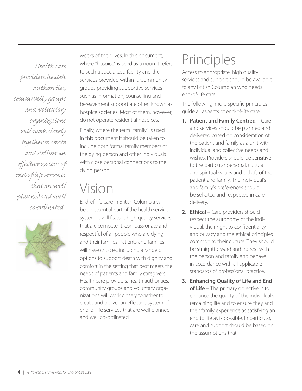*Health care providers, health*  authorities, *community groups and voluntary organizations will work closely tog her to create and deliver an*  effective system of *end- -life servic that are well planned and well co-ordinated..* 



weeks of their lives. In this document, where "hospice" is used as a noun it refers to such a specialized facility and the services provided within it. Community groups providing supportive services such as information, counselling and bereavement support are often known as hospice societies. Most of them, however, do not operate residential hospices.

Finally, where the term "family" is used in this document it should be taken to include both formal family members of the dying person and other individuals with close personal connections to the dying person.

# Vision

End-of-life care in British Columbia will be an essential part of the health service system. It will feature high quality services that are competent, compassionate and respectful of all people who are dying and their families. Patients and families will have choices, including a range of options to support death with dignity and comfort in the setting that best meets the needs of patients and family caregivers. Health care providers, health authorities, community groups and voluntary organizations will work closely together to create and deliver an effective system of end-of-life services that are well planned and well co-ordinated.

# Principles

Access to appropriate, high quality services and support should be available to any British Columbian who needs end-of-life care.

The following, more specific principles guide all aspects of end-of-life care:

- **1. Patient and Family Centred –** Care and services should be planned and delivered based on consideration of the patient and family as a unit with individual and collective needs and wishes. Providers should be sensitive to the particular personal, cultural and spiritual values and beliefs of the patient and family. The individual's and family's preferences should be solicited and respected in care delivery.
- **2. Ethical –** Care providers should respect the autonomy of the individual, their right to confidentiality and privacy and the ethical principles common to their culture. They should be straightforward and honest with the person and family and behave in accordance with all applicable standards of professional practice.
- **3. Enhancing Quality of Life and End of Life –** The primary objective is to enhance the quality of the individual's remaining life and to ensure they and their family experience as satisfying an end to life as is possible. In particular, care and support should be based on the assumptions that: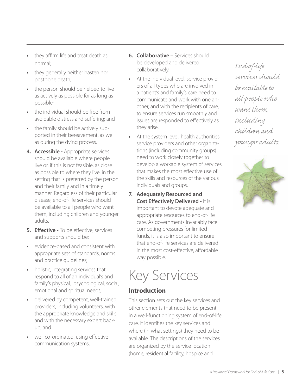- **•** they affirm life and treat death as normal;
- **•** they generally neither hasten nor postpone death;
- **•** the person should be helped to live as actively as possible for as long as possible;
- **•** the individual should be free from avoidable distress and suffering; and
- **•** the family should be actively supported in their bereavement, as well as during the dying process.
- **4. Accessible -** Appropriate services should be available where people live or, if this is not feasible, as close as possible to where they live, in the setting that is preferred by the person and their family and in a timely manner. Regardless of their particular disease, end-of-life services should be available to all people who want them, including children and younger adults.
- **5. Effective -** To be effective, services and supports should be:
- **•** evidence-based and consistent with appropriate sets of standards, norms and practice guidelines;
- **•** holistic, integrating services that respond to all of an individual's and family's physical, psychological, social, emotional and spiritual needs;
- **•** delivered by competent, well-trained providers, including volunteers, with the appropriate knowledge and skills and with the necessary expert backup; and
- well co-ordinated, using effective communication systems.
- **6. Collaborative –** Services should be developed and delivered collaboratively.
- **•** At the individual level, service providers of all types who are involved in a patient's and family's care need to communicate and work with one another, and with the recipients of care, to ensure services run smoothly and issues are responded to effectively as they arise.
- **•** At the system level, health authorities, service providers and other organizations (including community groups) need to work closely together to develop a workable system of services that makes the most effective use of the skills and resources of the various individuals and groups.
- **7. Adequately Resourced and Cost Effectively Delivered - It is** important to devote adequate and appropriate resources to end-of-life care. As governments invariably face competing pressures for limited funds, it is also important to ensure that end-of-life services are delivered in the most cost-effective, affordable way possible.



### **Introduction**

This section sets out the key services and other elements that need to be present in a well-functioning system of end-of-life care. It identifies the key services and where (in what settings) they need to be available. The descriptions of the services are organized by the service location (home, residential facility, hospice and

End-of-life services should *be available to all people ¢ o want them, including children and younger adults.*

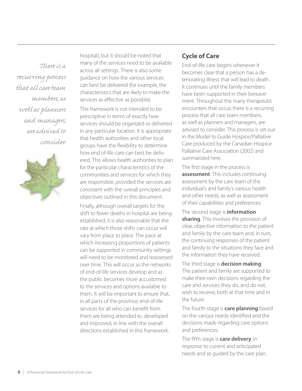*There is a*  $recwving process$ *that all care team members, as well as planners and managers, are advised to consider.* 



hospital), but it should be noted that many of the services need to be available across all settings. There is also some guidance on how the various services can best be delivered (for example, the characteristics that are likely to make the services as effective as possible).

This framework is not intended to be prescriptive in terms of exactly how services should be organized or delivered in any particular location. It is appropriate that health authorities and other local groups have the flexibility to determine how end of-life care can best be delivered. This allows health authorities to plan for the particular characteristics of the communities and services for which they are responsible, provided the services are consistent with the overall principles and objectives outlined in this document.

Finally, although overall targets for the shift to fewer deaths in hospital are being established, it is also reasonable that the rate at which those shifts can occur will vary from place to place. The pace at which increasing proportions of patients can be supported in community settings will need to be monitored and reassessed over time. This will occur as the networks of end-of-life services develop and as the public becomes more accustomed to the services and options available to them. It will be important to ensure that, in all parts of the province, end-of-life services for all who can benefit from them are being attended to, developed and improved, in line with the overall directions established in this framework.

### **Cycle of Care**

End-of-life care begins whenever it becomes clear that a person has a deteriorating illness that will lead to death. It continues until the family members have been supported in their bereavement. Throughout the many therapeutic encounters that occur, there is a recurring process that all care team members, as well as planners and managers, are advised to consider. This process is set out in the Model to Guide Hospice/Palliative Care produced by the Canadian Hospice Palliative Care Association (2002) and summarized here.

The first stage in the process is **assessment**. This includes continuing assessment by the care team of the individual's and family's various health and other needs, as well as assessment of their capabilities and preferences.

The second stage is **information sharing**. This involves the provision of clear, objective information to the patient and family by the care team and, in turn, the continuing responses of the patient and family to the situations they face and the information they have received.

The third stage is **decision making**. The patient and family are supported to make their own decisions regarding the care and services they do, and do not, wish to receive, both at that time and in the future.

The fourth stage is **care planning** based on the various needs identified and the decisions made regarding care options and preferences.

The fifth stage is **care delivery**, in response to current and anticipated needs and as guided by the care plan.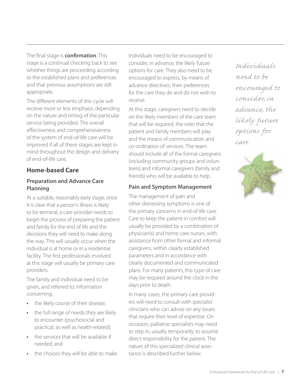The final stage is **confirmation**. This stage is a continual checking back to see whether things are proceeding according to the established plans and preferences and that previous assumptions are still appropriate.

The different elements of this cycle will receive more or less emphasis, depending on the nature and timing of the particular service being provided. The overall effectiveness and comprehensiveness of the system of end-of-life care will be improved if all of these stages are kept in mind throughout the design and delivery of end-of-life care.

### **Home-based Care**

#### **Preparation and Advance Care Planning**

At a suitable, reasonably early stage, once it is clear that a person's illness is likely to be terminal, a care provider needs to begin the process of preparing the patient and family for the end of life and the decisions they will need to make along the way. This will usually occur when the individual is at home or in a residential facility. The first professionals involved at this stage will usually be primary care providers.

The family and individual need to be given, and referred to, information concerning:

- **•** the likely course of their disease;
- **•** the full range of needs they are likely to encounter (psychosocial and practical, as well as health-related);
- **•** the services that will be available if needed; and
- **•** the choices they will be able to make.

Individuals need to be encouraged to consider, in advance, the likely future options for care. They also need to be encouraged to express, by means of advance directives, their preferences for the care they do and do not wish to receive.

At this stage, caregivers need to decide on the likely members of the care team that will be required, the roles that the patient and family members will play and the means of communication and co-ordination of services. The team should include all of the formal caregivers (including community groups and volunteers) and informal caregivers (family and friends) who will be available to help.

### **Pain and Symptom Management**

The management of pain and other distressing symptoms is one of the primary concerns in end-of life care. Care to keep the patient in comfort will usually be provided by a combination of physician(s) and home care nurses, with assistance from other formal and informal caregivers, within clearly established parameters and in accordance with clearly documented and communicated plans. For many patients, this type of care may be required around the clock in the days prior to death.

In many cases, the primary care providers will need to consult with specialist clinicians who can advise on any issues that require their level of expertise. On occasion, palliative specialists may need to step in, usually temporarily, to assume direct responsibility for the patient. The nature of this specialized clinical assistance is described further below.

*Individuals need to be encouraged to consider, in advance, the likely future options for care.*

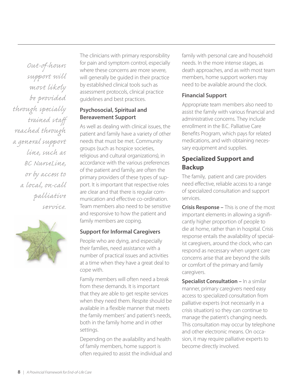*Out- -hours su ort will most likely be provided*  through specially *trained staff reached through a general su ort line, such as BC NurseLine, or by acc to a local, on-call palliative service.*



The clinicians with primary responsibility for pain and symptom control, especially where these concerns are more severe, will generally be guided in their practice by established clinical tools such as assessment protocols, clinical practice guidelines and best practices.

#### **Psychosocial, Spiritual and Bereavement Support**

As well as dealing with clinical issues, the patient and family have a variety of other needs that must be met. Community groups (such as hospice societies, religious and cultural organizations), in accordance with the various preferences of the patient and family, are often the primary providers of these types of support. It is important that respective roles are clear and that there is regular communication and effective co-ordination. Team members also need to be sensitive and responsive to how the patient and family members are coping.

#### **Support for Informal Caregivers**

People who are dying, and especially their families, need assistance with a number of practical issues and activities at a time when they have a great deal to cope with.

Family members will often need a break from these demands. It is important that they are able to get respite services when they need them. Respite should be available in a flexible manner that meets the family members' and patient's needs, both in the family home and in other settings.

Depending on the availability and health of family members, home support is often required to assist the individual and family with personal care and household needs. In the more intense stages, as death approaches, and as with most team members, home support workers may need to be available around the clock.

#### **Financial Support**

Appropriate team members also need to assist the family with various financial and administrative concerns. They include enrollment in the B.C. Palliative Care Benefits Program, which pays for related medications, and with obtaining necessary equipment and supplies.

### **Specialized Support and Backup**

The family, patient and care providers need effective, reliable access to a range of specialized consultation and support services.

**Crisis Response –** This is one of the most important elements in allowing a significantly higher proportion of people to die at home, rather than in hospital. Crisis response entails the availability of specialist caregivers, around the clock, who can respond as necessary when urgent care concerns arise that are beyond the skills or comfort of the primary and family caregivers.

**Specialist Consultation –** In a similar manner, primary caregivers need easy access to specialized consultation from palliative experts (not necessarily in a crisis situation) so they can continue to manage the patient's changing needs. This consultation may occur by telephone and other electronic means. On occasion, it may require palliative experts to become directly involved.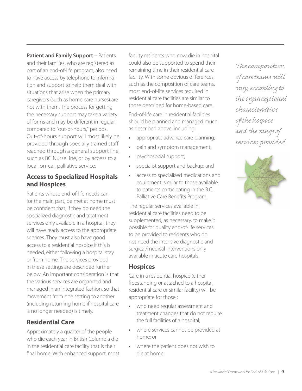**Patient and Family Support – Patients** and their families, who are registered as part of an end-of-life program, also need to have access by telephone to information and support to help them deal with situations that arise when the primary caregivers (such as home care nurses) are not with them. The process for getting the necessary support may take a variety of forms and may be different in regular, compared to "out-of-hours," periods. Out-of-hours support will most likely be provided through specially trained staff reached through a general support line, such as BC NurseLine, or by access to a local, on-call palliative service.

#### **Access to Specialized Hospitals and Hospices**

Patients whose end-of-life needs can, for the main part, be met at home must be confident that, if they do need the specialized diagnostic and treatment services only available in a hospital, they will have ready access to the appropriate services. They must also have good access to a residential hospice if this is needed, either following a hospital stay or from home. The services provided in these settings are described further below. An important consideration is that the various services are organized and managed in an integrated fashion, so that movement from one setting to another (including returning home if hospital care is no longer needed) is timely.

### **Residential Care**

Approximately a quarter of the people who die each year in British Columbia die in the residential care facility that is their final home. With enhanced support, most facility residents who now die in hospital could also be supported to spend their remaining time in their residential care facility. With some obvious differences, such as the composition of care teams, most end-of-life services required in residential care facilities are similar to those described for home-based care.

End-of-life care in residential facilities should be planned and managed much as described above, including:

- **•** appropriate advance care planning;
- **•** pain and symptom management;
- **•** psychosocial support;
- **•** specialist support and backup; and
- **•** access to specialized medications and equipment, similar to those available to patients participating in the B.C. Palliative Care Benefits Program.

The regular services available in residential care facilities need to be supplemented, as necessary, to make it possible for quality end-of-life services to be provided to residents who do not need the intensive diagnostic and surgical/medical interventions only available in acute care hospitals.

### **Hospices**

Care in a residential hospice (either freestanding or attached to a hospital, residential care or similar facility) will be appropriate for those :

- **•** who need regular assessment and treatment changes that do not require the full facilities of a hospital;
- **•** where services cannot be provided at home; or
- **•** where the patient does not wish to die at home.

The composition  *care teams will vary, according to the organizational characteristics the hospice and the range*  services provided.

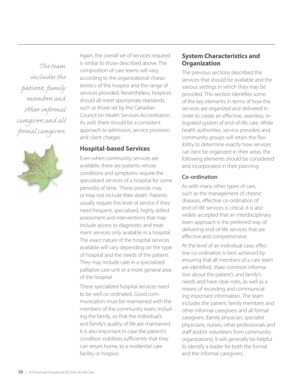*The team includ the patient, family members and ® her informal caregivers and all formal caregivers.*



Again, the overall set of services required is similar to those described above. The composition of care teams will vary, according to the organizational characteristics of the hospice and the range of services provided. Nevertheless, hospices should all meet appropriate standards, such as those set by the Canadian Council on Health Services Accreditation. As well, there should be a consistent approach to admission, service provision and client charges.

#### **Hospital-based Services**

Even when community services are available, there are patients whose conditions and symptoms require the specialized services of a hospital for some period(s) of time. These periods may or may not include their death. Patients usually require this level of service if they need frequent, specialized, highly skilled assessment and interventions that may include access to diagnostic and treatment services only available in a hospital. The exact nature of the hospital services available will vary depending on the type of hospital and the needs of the patient. They may include care in a specialized palliative care unit or a more general area of the hospital.

These specialized hospital services need to be well co-ordinated. Good communication must be maintained with the members of the community team, including the family, so that the individual's and family's quality of life are maintained. It is also important in case the patient's condition stabilizes sufficiently that they can return home, to a residential care facility or hospice.

#### **System Characteristics and Organization**

The previous sections described the services that should be available and the various settings in which they may be provided. This section identifies some of the key elements in terms of how the services are organized and delivered in order to create an effective, seamless, integrated system of end-of-life care. While health authorities, service providers and community groups will retain the flexibility to determine exactly how services can best be organized in their areas, the following elements should be considered and incorporated in their planning.

#### **Co-ordination**

As with many other types of care, such as the management of chronic diseases, effective co-ordination of end-of-life services is critical. It is also widely accepted that an interdisciplinary team approach is the preferred way of delivering end-of-life services that are effective and comprehensive.

At the level of an individual case, effective co-ordination is best achieved by ensuring that all members of a care team are identified, share common information about the patient's and family's needs and have clear roles, as well as a means of recording and communicating important information. The team includes the patient, family members and other informal caregivers and all formal caregivers (family physician, specialist physicians, nurses, other professionals and staff and/or volunteers from community organizations). It will generally be helpful to identify a leader for both the formal and the informal caregivers.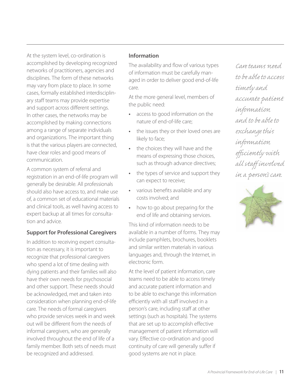At the system level, co-ordination is accomplished by developing recognized networks of practitioners, agencies and disciplines. The form of these networks may vary from place to place. In some cases, formally established interdisciplinary staff teams may provide expertise and support across different settings. In other cases, the networks may be accomplished by making connections among a range of separate individuals and organizations. The important thing is that the various players are connected, have clear roles and good means of communication.

A common system of referral and registration in an end-of-life program will generally be desirable. All professionals should also have access to, and make use of, a common set of educational materials and clinical tools, as well having access to expert backup at all times for consultation and advice.

#### **Support for Professional Caregivers**

In addition to receiving expert consultation as necessary, it is important to recognize that professional caregivers who spend a lot of time dealing with dying patients and their families will also have their own needs for psychosocial and other support. These needs should be acknowledged, met and taken into consideration when planning end-of-life care. The needs of formal caregivers who provide services week in and week out will be different from the needs of informal caregivers, who are generally involved throughout the end of life of a family member. Both sets of needs must be recognized and addressed.

#### **Information**

The availability and flow of various types of information must be carefully managed in order to deliver good end-of-life care.

At the more general level, members of the public need:

- **•** access to good information on the nature of end-of-life care;
- **•** the issues they or their loved ones are likely to face;
- **•** the choices they will have and the means of expressing those choices, such as through advance directives;
- **•** the types of service and support they can expect to receive;
- various benefits available and any costs involved; and
- **•** how to go about preparing for the end of life and obtaining services.

This kind of information needs to be available in a number of forms. They may include pamphlets, brochures, booklets and similar written materials in various languages and, through the Internet, in electronic form.

At the level of patient information, care teams need to be able to access timely and accurate patient information and to be able to exchange this information efficiently with all staff involved in a person's care, including staff at other settings (such as hospitals). The systems that are set up to accomplish effective management of patient information will vary. Effective co-ordination and good continuity of care will generally suffer if good systems are not in place.

*Care teams need to be able to acc timely and accurate patient information and to be able to ° change this information effi ciently with all staff involved in a person's care.*

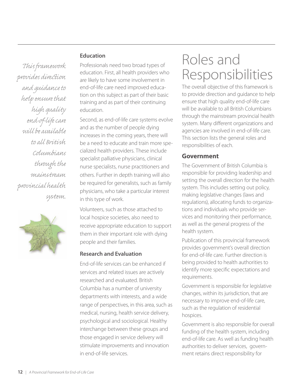#### **Education**

 $This framework$ provides direction *and guidance to help ensure that high quality end- -life care will be available to all British Columbians through the mainstream provincial health stem.*



Professionals need two broad types of education. First, all health providers who are likely to have some involvement in end-of-life care need improved education on this subject as part of their basic training and as part of their continuing education.

Second, as end-of-life care systems evolve and as the number of people dying increases in the coming years, there will be a need to educate and train more specialized health providers. These include specialist palliative physicians, clinical nurse specialists, nurse practitioners and others. Further in depth training will also be required for generalists, such as family physicians, who take a particular interest in this type of work.

Volunteers, such as those attached to local hospice societies, also need to receive appropriate education to support them in their important role with dying people and their families.

#### **Research and Evaluation**

End-of-life services can be enhanced if services and related issues are actively researched and evaluated. British Columbia has a number of university departments with interests, and a wide range of perspectives, in this area, such as medical, nursing, health service delivery, psychological and sociological. Healthy interchange between these groups and those engaged in service delivery will stimulate improvements and innovation in end-of-life services.

# Roles and Responsibilities

The overall objective of this framework is to provide direction and guidance to help ensure that high quality end-of-life care will be available to all British Columbians through the mainstream provincial health system. Many different organizations and agencies are involved in end-of-life care. This section lists the general roles and responsibilities of each.

#### **Government**

The Government of British Columbia is responsible for providing leadership and setting the overall direction for the health system. This includes setting out policy, making legislative changes (laws and regulations), allocating funds to organizations and individuals who provide services and monitoring their performance, as well as the general progress of the health system.

Publication of this provincial framework provides government's overall direction for end-of-life care. Further direction is being provided to health authorities to identify more specific expectations and requirements.

Government is responsible for legislative changes, within its jurisdiction, that are necessary to improve end-of-life care, such as the regulation of residential hospices.

Government is also responsible for overall funding of the health system, including end-of-life care. As well as funding health authorities to deliver services, government retains direct responsibility for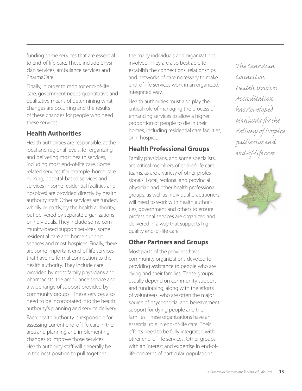funding some services that are essential to end-of-life care. These include physician services, ambulance services and PharmaCare.

Finally, in order to monitor end-of-life care, government needs quantitative and qualitative means of determining what changes are occurring and the results of these changes for people who need these services.

### **Health Authorities**

Health authorities are responsible, at the local and regional levels, for organizing and delivering most health services, including most end-of-life care. Some related services (for example, home care nursing, hospital-based services and services in some residential facilities and hospices) are provided directly by health authority staff. Other services are funded, wholly or partly, by the health authority, but delivered by separate organizations or individuals. They include some community-based support services, some residential care and home support services and most hospices. Finally, there are some important end-of-life services that have no formal connection to the health authority. They include care provided by most family physicians and pharmacists, the ambulance service and a wide range of support provided by community groups. These services also need to be incorporated into the health authority's planning and service delivery.

Each health authority is responsible for assessing current end-of-life care in their area and planning and implementing changes to improve those services. Health authority staff will generally be in the best position to pull together

the many individuals and organizations involved. They are also best able to establish the connections, relationships and networks of care necessary to make end-of-life services work in an organized, integrated way.

Health authorities must also play the critical role of managing the process of enhancing services to allow a higher proportion of people to die in their homes, including residential care facilities, or in hospice.

# **Health Professional Groups**

Family physicians, and some specialists, are critical members of end-of-life care teams, as are a variety of other professionals. Local, regional and provincial physician and other health professional groups, as well as individual practitioners, will need to work with health authorities, government and others to ensure professional services are organized and delivered in a way that supports high quality end-of-life care.

# **Other Partners and Groups**

Most parts of the province have community organizations devoted to providing assistance to people who are dying and their families. These groups usually depend on community support and fundraising, along with the efforts of volunteers, who are often the major source of psychosocial and bereavement support for dying people and their families. These organizations have an essential role in end-of-life care. Their efforts need to be fully integrated with other end-of-life services. Other groups with an interest and expertise in end-oflife concerns of particular populations

*The Canadian Council on*  Health Services *Accreditation has developed standards for the delivery hospice palliative and end- -life care.*

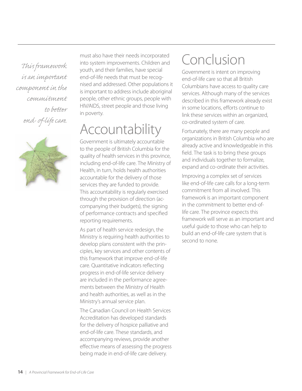*This framework is an important component in the commitment*  to better *end- -life care.*



must also have their needs incorporated into system improvements. Children and youth, and their families, have special end-of-life needs that must be recognised and addressed. Other populations it is important to address include aboriginal people, other ethnic groups, people with HIV/AIDS, street people and those living in poverty.

# Accountability

Government is ultimately accountable to the people of British Columbia for the quality of health services in this province, including end-of-life care. The Ministry of Health, in turn, holds health authorities accountable for the delivery of those services they are funded to provide. This accountability is regularly exercised through the provision of direction (accompanying their budgets), the signing of performance contracts and specified reporting requirements.

As part of health service redesign, the Ministry is requiring health authorities to develop plans consistent with the principles, key services and other contents of this framework that improve end-of-life care. Quantitative indicators reflecting progress in end-of-life service delivery are included in the performance agreements between the Ministry of Health and health authorities, as well as in the Ministry's annual service plan.

The Canadian Council on Health Services Accreditation has developed standards for the delivery of hospice palliative and end-of-life care. These standards, and accompanying reviews, provide another effective means of assessing the progress being made in end-of-life care delivery.

# Conclusion

Government is intent on improving end-of-life care so that all British Columbians have access to quality care services. Although many of the services described in this framework already exist in some locations, efforts continue to link these services within an organized, co-ordinated system of care.

Fortunately, there are many people and organizations in British Columbia who are already active and knowledgeable in this field. The task is to bring these groups and individuals together to formalize, expand and co-ordinate their activities.

Improving a complex set of services like end-of-life care calls for a long-term commitment from all involved. This framework is an important component in the commitment to better end-oflife care. The province expects this framework will serve as an important and useful guide to those who can help to build an end-of-life care system that is second to none.